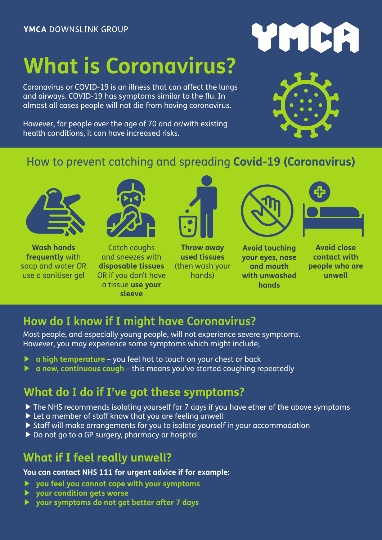### **What is Coronavirus?**

Coronavirus or COVID-19 is an illness that can affect the lungs and airways. COVID-19 has symptoms similar to the flu. In almost all cases people will not die from having coronavirus.

However, for people over the age of 70 and or/with existing health conditions, it can have increased risks.

# WMRA



#### How to prevent catching and spreading **Covid-19 (Coronavirus)**



**Wash hands frequently** with soap and water OR use a sanitiser gel

Catch coughs and sneezes with **disposable tissues** OR if you don't have a tissue **use your sleeve**



**Throw away used tissues** (then wash your hands)



**Avoid touching your eyes, nose and mouth with unwashed hands** 



**Avoid close contact with people who are unwell** 

#### **How do I know if I might have Coronavirus?**

Most people, and especially young people, will not experience severe symptoms. However, you may experience some symptoms which might include;

- ▶ **a high temperature** you feel hot to touch on your chest or back
- ▶ **a new, continuous cough**  this means you've started coughing repeatedly

#### **What do I do if I've got these symptoms?**

- ▶ The NHS recommends isolating yourself for 7 days if you have ether of the above symptoms
- ▶ Let a member of staff know that you are feeling unwell
- ▶ Staff will make arrangements for you to isolate yourself in your accommodation
- ▶ Do not go to a GP surgery, pharmacy or hospital

#### **What if I feel really unwell?**

**You can contact NHS 111 for urgent advice if for example:**

- ▶ **you feel you cannot cope with your symptoms**
- ▶ **your condition gets worse**
- ▶ **your symptoms do not get better after 7 days**